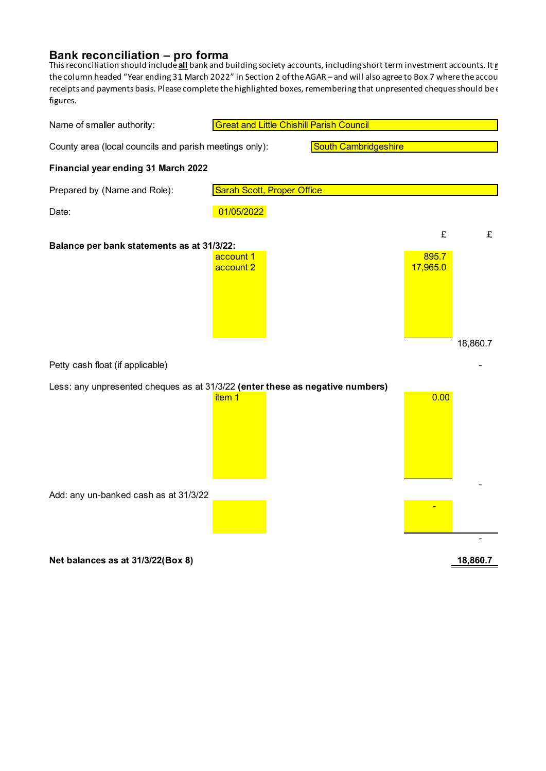## **Bank reconciliation – pro forma**

This reconciliation should include <u>all</u> bank and building society accounts, including short term investment accounts. It <u>n</u> the column headed "Year ending 31 March 2022" in Section 2 of the AGAR - and will also agree to Box 7 where the accou receipts and payments basis. Please complete the highlighted boxes, remembering that unpresented cheques should be  $\epsilon$ figures.

| Name of smaller authority:                                                    | <b>Great and Little Chishill Parish Council</b> |  |                             |  |                        |               |
|-------------------------------------------------------------------------------|-------------------------------------------------|--|-----------------------------|--|------------------------|---------------|
| County area (local councils and parish meetings only):                        |                                                 |  | <b>South Cambridgeshire</b> |  |                        |               |
| Financial year ending 31 March 2022                                           |                                                 |  |                             |  |                        |               |
| Prepared by (Name and Role):                                                  | <b>Sarah Scott, Proper Office</b>               |  |                             |  |                        |               |
| Date:                                                                         | 01/05/2022                                      |  |                             |  |                        |               |
| Balance per bank statements as at 31/3/22:                                    | account 1<br>account 2                          |  |                             |  | £<br>895.7<br>17,965.0 | £<br>18,860.7 |
| Petty cash float (if applicable)                                              |                                                 |  |                             |  |                        |               |
| Less: any unpresented cheques as at 31/3/22 (enter these as negative numbers) | item <sub>1</sub>                               |  |                             |  | 0.00                   |               |
| Add: any un-banked cash as at 31/3/22                                         |                                                 |  |                             |  |                        |               |
| Net balances as at 31/3/22(Box 8)                                             |                                                 |  |                             |  |                        | 18,860.7      |